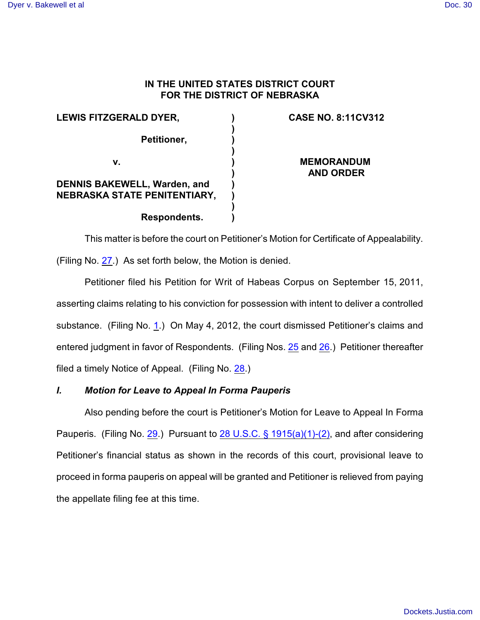## **IN THE UNITED STATES DISTRICT COURT FOR THE DISTRICT OF NEBRASKA**

**) ) ) ) ) ) ) ) ) )**

**LEWIS FITZGERALD DYER, Petitioner, v. DENNIS BAKEWELL, Warden, and NEBRASKA STATE PENITENTIARY, Respondents.**

# **CASE NO. 8:11CV312**

**MEMORANDUM AND ORDER**

This matter is before the court on Petitioner's Motion for Certificate of Appealability. (Filing No. [27](http://ecf.ned.uscourts.gov/doc1/11302527665).) As set forth below, the Motion is denied.

Petitioner filed his Petition for Writ of Habeas Corpus on September 15, 2011, asserting claims relating to his conviction for possession with intent to deliver a controlled substance. (Filing No. [1](http://ecf.ned.uscourts.gov/doc1/11302356370).) On May 4, 2012, the court dismissed Petitioner's claims and entered judgment in favor of Respondents. (Filing Nos. [25](https://ecf.ned.uscourts.gov/doc1/11312519659) and [26](https://ecf.ned.uscourts.gov/doc1/11312519670).) Petitioner thereafter filed a timely Notice of Appeal. (Filing No. [28](http://ecf.ned.uscourts.gov/doc1/11302527674).)

## *I. Motion for Leave to Appeal In Forma Pauperis*

Also pending before the court is Petitioner's Motion for Leave to Appeal In Forma Pauperis. (Filing No. [29](http://ecf.ned.uscourts.gov/doc1/11302527683).) Pursuant to [28 U.S.C. § 1915\(a\)\(1\)-\(2\)](http://www.westlaw.com/find/default.wl?rs=CLWP3.0&vr=2.0&cite=28+USCA+s+1915%28a%29%281%29-%282%29), and after considering Petitioner's financial status as shown in the records of this court, provisional leave to proceed in forma pauperis on appeal will be granted and Petitioner is relieved from paying the appellate filing fee at this time.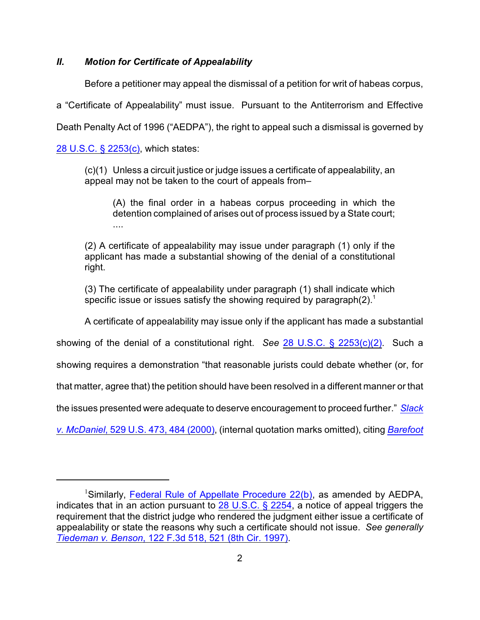### *II. Motion for Certificate of Appealability*

Before a petitioner may appeal the dismissal of a petition for writ of habeas corpus,

a "Certificate of Appealability" must issue. Pursuant to the Antiterrorism and Effective

Death Penalty Act of 1996 ("AEDPA"), the right to appeal such a dismissal is governed by

[28 U.S.C. § 2253\(c\)](http://web2.westlaw.com/find/default.wl?fn=_top&rs=WLW8.09&rp=%2ffind%2fdefault.wl&mt=Westlaw&vr=2.0&sv=Split&cite=28+U.S.C.+%c2%a7+2253(c)), which states:

(c)(1) Unless a circuit justice or judge issues a certificate of appealability, an appeal may not be taken to the court of appeals from–

(A) the final order in a habeas corpus proceeding in which the detention complained of arises out of process issued by a State court; ....

(2) A certificate of appealability may issue under paragraph (1) only if the applicant has made a substantial showing of the denial of a constitutional right.

(3) The certificate of appealability under paragraph (1) shall indicate which specific issue or issues satisfy the showing required by paragraph(2).<sup>1</sup>

A certificate of appealability may issue only if the applicant has made a substantial

showing of the denial of a constitutional right. *See* [28 U.S.C. § 2253\(c\)\(2\)](http://web2.westlaw.com/find/default.wl?fn=_top&rs=WLW8.09&rp=%2ffind%2fdefault.wl&mt=Westlaw&vr=2.0&sv=Split&cite=28+U.S.C.+%c2%a7+2253(c)(2)). Such a

showing requires a demonstration "that reasonable jurists could debate whether (or, for

that matter, agree that) the petition should have been resolved in a different manner or that

the issues presented were adequate to deserve encouragement to proceed further." *[Slack](http://web2.westlaw.com/find/default.wl?fn=_top&rs=WLW8.09&rp=%2ffind%2fdefault.wl&mt=Westlaw&vr=2.0&sv=Split&cite=529+us+484)*

*v. McDaniel*[, 529 U.S. 473, 484 \(2000\)](http://web2.westlaw.com/find/default.wl?fn=_top&rs=WLW8.09&rp=%2ffind%2fdefault.wl&mt=Westlaw&vr=2.0&sv=Split&cite=529+us+484), (internal quotation marks omitted), citing *[Barefoot](http://web2.westlaw.com/find/default.wl?fn=_top&rs=WLW8.09&rp=%2ffind%2fdefault.wl&mt=Westlaw&vr=2.0&sv=Split&cite=463+us+894)*

<sup>&</sup>lt;sup>1</sup>Similarly, [Federal Rule of Appellate Procedure 22\(b\)](http://web2.westlaw.com/find/default.wl?fn=_top&rs=WLW8.09&rp=%2ffind%2fdefault.wl&mt=Westlaw&vr=2.0&sv=Split&cite=frap+22), as amended by AEDPA, indicates that in an action pursuant to [28 U.S.C. § 2254](http://web2.westlaw.com/find/default.wl?fn=_top&rs=WLW8.09&rp=%2ffind%2fdefault.wl&mt=Westlaw&vr=2.0&sv=Split&cite=28+usc+2254), a notice of appeal triggers the requirement that the district judge who rendered the judgment either issue a certificate of appealability or state the reasons why such a certificate should not issue. *See generally Tiedeman v. Benson*[, 122 F.3d 518, 521 \(8th Cir. 1997\)](http://web2.westlaw.com/find/default.wl?fn=_top&rs=WLW8.09&rp=%2ffind%2fdefault.wl&mt=Westlaw&vr=2.0&sv=Split&cite=122+f+3d+521).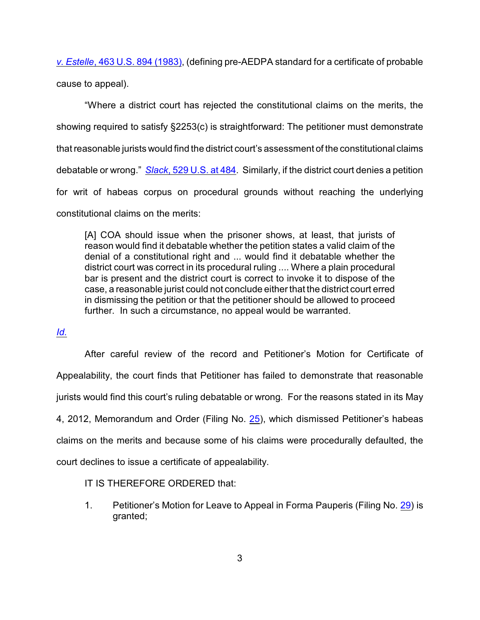*v. Estelle*, 463 U.S. 894 (1983), (defining pre-AEDPA standard for a certificate of probable cause to appeal).

"Where a district court has rejected the constitutional claims on the merits, the showing required to satisfy §2253(c) is straightforward: The petitioner must demonstrate that reasonable jurists would find the district court's assessment of the constitutional claims debatable or wrong." *Slack*[, 529 U.S. at 484](http://web2.westlaw.com/find/default.wl?fn=_top&rs=WLW8.09&rp=%2ffind%2fdefault.wl&mt=Westlaw&vr=2.0&sv=Split&cite=529+us+484). Similarly, if the district court denies a petition for writ of habeas corpus on procedural grounds without reaching the underlying constitutional claims on the merits:

[A] COA should issue when the prisoner shows, at least, that jurists of reason would find it debatable whether the petition states a valid claim of the denial of a constitutional right and ... would find it debatable whether the district court was correct in its procedural ruling .... Where a plain procedural bar is present and the district court is correct to invoke it to dispose of the case, a reasonable jurist could not conclude either that the district court erred in dismissing the petition or that the petitioner should be allowed to proceed further. In such a circumstance, no appeal would be warranted.

## *[Id.](http://web2.westlaw.com/find/default.wl?fn=_top&rs=WLW8.09&rp=%2ffind%2fdefault.wl&mt=Westlaw&vr=2.0&sv=Split&cite=529+us+484)*

After careful review of the record and Petitioner's Motion for Certificate of Appealability, the court finds that Petitioner has failed to demonstrate that reasonable jurists would find this court's ruling debatable or wrong. For the reasons stated in its May 4, 2012, Memorandum and Order (Filing No. [25](http://ecf.ned.uscourts.gov/doc1/11302519659)), which dismissed Petitioner's habeas claims on the merits and because some of his claims were procedurally defaulted, the court declines to issue a certificate of appealability.

## IT IS THEREFORE ORDERED that:

1. Petitioner's Motion for Leave to Appeal in Forma Pauperis (Filing No. [29](http://ecf.ned.uscourts.gov/doc1/11302527683)) is granted;